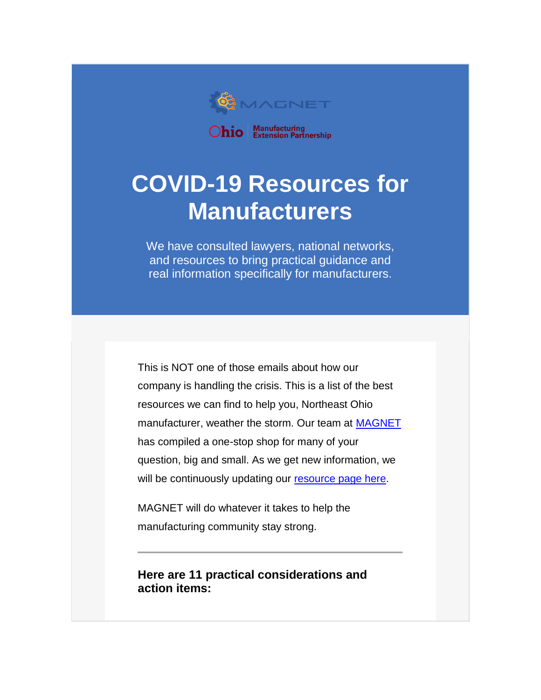

# **COVID-19 Resources for Manufacturers**

We have consulted lawyers, national networks, and resources to bring practical guidance and real information specifically for manufacturers.

This is NOT one of those emails about how our company is handling the crisis. This is a list of the best resources we can find to help you, Northeast Ohio manufacturer, weather the storm. Our team at [MAGNET](https://www.manufacturingsuccess.org/e2t/c/*W13WjHl2CB9rhW1kJC5B27F3Q10/*VcTLtt4hxB5mW7rk-nX1k_Qnh0/5/f18dQhb0Sjv78XJ8NlN7pK2FsHyjJqMQK4kWQBplgN3hHhdwXL0jYVnQ9Qq8--HBkW8-hlbL2LFh1DW2Mz05n8X4pdBW5p9F5S568jySW7Kf4S52MTPSpW8W2c9W32CQ2lW8jxMNS1Vx3W4W3CPQ_B5D8zFFVjPrmg6W3RDgMHd1flBr0q_VYSX-57m_B1RW5c8d-S377W4zW5CD5Rl7lVWVdW8K7jyB5jK-hwVScbn16QvYFpW36xl_87fv4BwW6Q8YC96bv3rGVYR1rm361PzkW3Tkrw37YGWqfN2ykJj5RnM9QW1cjRGd1xnSmhW4V-xKy87yTfLVDTtwG7YJG-FN6Q8L5-FgqPfW95TvDC7ZYvwHW6RsV5-1pZt4dMhzVNsnlkR-W3MP4Bq8csLSqW112pl55hkryvW5kgLKG5y4mgPV9NW_n5jDhvlW4trZmG4rKHSMW7l35Dv31GHfxW12BrcX9d9F5LW3Bb4YP4LKw5pW7y7zQv8MQ0gjVHk35f1MB4xmW3y19vM3wMXFCV16jJ_7w8F36103)  has compiled a one-stop shop for many of your question, big and small. As we get new information, we will be continuously updating our [resource page here.](https://www.manufacturingsuccess.org/e2t/c/*W13WjHl2CB9rhW1kJC5B27F3Q10/*W4yD74C8Pc-hGN4tsp1mpbqpW0/5/f18dQhb0SbTK8XJblHN7pK2FsHyjJqMQK4kWQBplgN3hHhdcXL0jYVnQ9Qq8--HBkW8-hlbL2LFh1DW2Mz05n8X4pdBW5p9F5S568jySW7KdZV777cGSYVv0cLJ2MTPSpW8W2c9W32CQ2lW8jxMNS1Vx3W4W3CPQ_B5D8zFFW6bJ-px7nwG0kW6bnMRg4MYQh-W7R0x1433FK-yMqPkxDnjZC8W1HvdD78h0pycW2Qqyqp6cw5sLW1xZ9Rz8XkHwtN2qTVDj5p_3_W9cyl_V74PZR7W7xmc-q1TWhT2W3p556b2tkGJDW3ppDPb4PvWkqW3nPcvv8gFk8zN54RN6c7r5DcW76RMY65mYP6BW841J6w6VGtS2Vtr0Jf30MJRXW9h7jbN7LNGj8W2qL7nd7wTZxMW8NQbrW73QsnmW1d5pgb5HpZypW1V3FR91Z6Bx5W2jKvM07QWGVDW83C9gn7Nq_m6N5YtJw9b2_nMW6PxM5R5Sk0NcW5ZsFbz5t3HG9W66f1XB8mPzzmW1TRkTq6BFKSKW6qBrgM73yKD2W70RWGG11ZGRT111)

MAGNET will do whatever it takes to help the manufacturing community stay strong.

**Here are 11 practical considerations and action items:**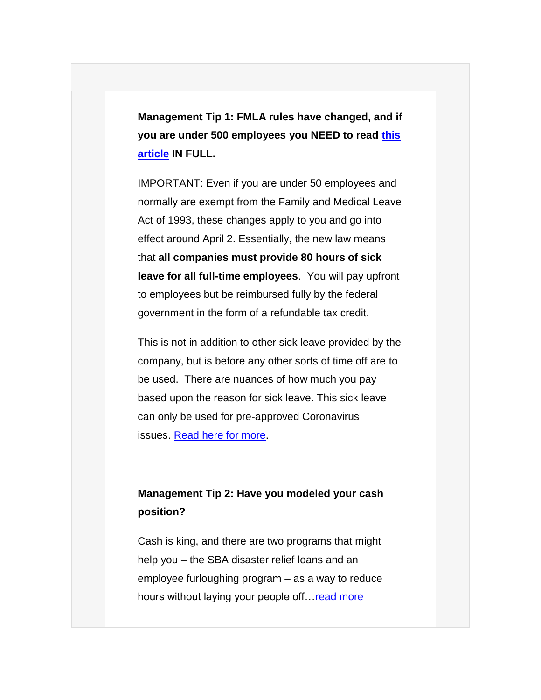**Management Tip 1: FMLA rules have changed, and if you are under 500 employees you NEED to read [this](https://www.manufacturingsuccess.org/e2t/c/*W13WjHl2CB9rhW1kJC5B27F3Q10/*W6Tjq9J6ylB5yN48NvBkH6G760/5/f18dQhb0S65M2dYTs8TvNHw1FZ0hrW6LmbTg762KL4W56Mfh42Nf_vCW1LQK_Q96KHTZW5Gjlk03S_Q7GN1yd93dS5Y6SW8PRL4n437FVLW55gLdx29SkZWN5g30Wf-zMlYW5NW0fm7JLKJTW425JwW4BPFxhW2Wk2qH43PNfhW136D5b4mbXrYW5bm7gg8QWvG7W1_B4Ct3vc6VMW4JjkxW2qj8lTW4-VsPM6YL-dnW34h4xP2mRP82W8XSj8D5P6kJsW1vPSrD1NQyf6W4ZvBSl5KWlxwW6dY4Z-1kxbSSV8FCRj3JYgX5W4XMy4w8Xqr7FN85X_GyK5P4xW99Xcr43LzW9vW6HqgCj71rHR9W8KPQY64jtHg1W4sPy2H68ylDZW84Zm_07ZphkKW7M_HKT7r1cxtW8hygJm8wjLytW2KHhnK6PQprYVppGGg2nJvtKW4pkTnf2BskmsW72GLd934rWlvW4vg4bs7XXSQnN4hV27TqXYwXVWVLKl2cD_1MW5HzlwH2V75pJW4DBT1q2bSR4YW78zJFc9bm0TGW3z89hc8PsrlDW1LDbB220hl6cW7XpdWJ4bXfmY0)  [article](https://www.manufacturingsuccess.org/e2t/c/*W13WjHl2CB9rhW1kJC5B27F3Q10/*W6Tjq9J6ylB5yN48NvBkH6G760/5/f18dQhb0S65M2dYTs8TvNHw1FZ0hrW6LmbTg762KL4W56Mfh42Nf_vCW1LQK_Q96KHTZW5Gjlk03S_Q7GN1yd93dS5Y6SW8PRL4n437FVLW55gLdx29SkZWN5g30Wf-zMlYW5NW0fm7JLKJTW425JwW4BPFxhW2Wk2qH43PNfhW136D5b4mbXrYW5bm7gg8QWvG7W1_B4Ct3vc6VMW4JjkxW2qj8lTW4-VsPM6YL-dnW34h4xP2mRP82W8XSj8D5P6kJsW1vPSrD1NQyf6W4ZvBSl5KWlxwW6dY4Z-1kxbSSV8FCRj3JYgX5W4XMy4w8Xqr7FN85X_GyK5P4xW99Xcr43LzW9vW6HqgCj71rHR9W8KPQY64jtHg1W4sPy2H68ylDZW84Zm_07ZphkKW7M_HKT7r1cxtW8hygJm8wjLytW2KHhnK6PQprYVppGGg2nJvtKW4pkTnf2BskmsW72GLd934rWlvW4vg4bs7XXSQnN4hV27TqXYwXVWVLKl2cD_1MW5HzlwH2V75pJW4DBT1q2bSR4YW78zJFc9bm0TGW3z89hc8PsrlDW1LDbB220hl6cW7XpdWJ4bXfmY0) IN FULL.**

IMPORTANT: Even if you are under 50 employees and normally are exempt from the Family and Medical Leave Act of 1993, these changes apply to you and go into effect around April 2. Essentially, the new law means that **all companies must provide 80 hours of sick leave for all full-time employees**. You will pay upfront to employees but be reimbursed fully by the federal government in the form of a refundable tax credit.

This is not in addition to other sick leave provided by the company, but is before any other sorts of time off are to be used. There are nuances of how much you pay based upon the reason for sick leave. This sick leave can only be used for pre-approved Coronavirus issues. [Read here for more.](https://www.manufacturingsuccess.org/e2t/c/*W13WjHl2CB9rhW1kJC5B27F3Q10/*W8KrgkT1ckGjTW6_cHxj5th-Z30/5/f18dQhb0SbTK8XJblHN7pK2FsHyjJqMQK4kWQBplgN3hHhdcXL0jYVnQ9Qq8--HBkW8-hlbL2LFh1DW2Mz05n8X4pdBW5p9F5S568jySW7KdZV777cGSYVv0cLJ2MTPSpW8W2c9W32CQ2lW8jxMNS1Vx3W4W3CPQ_B5D8zFFW6bJ-px7nwG0kW6bnMRg4MYQh-W7R0x1433FK-yMqPkxDnjZC8W1HvdD78h0pycW2Qqyqp6cw5sLW1xZ9Rz8XkHwtN2qTVDj5p_3_W9cyl_V74PZR7W7xmc-q1TWhT2W3p556b2tkGJDW3ppDPb4PvWkqW3nPcvv8gFk8zN54RN6c7r5DcW76RMY65mYP6BW841J6w6VGtS2Vtr0Jf30MJRXW9h7jbN7LNGj8W2qL7nd7wTZxMW8NQbrW73QsnmW1d5pgb5HpZypW1V3FR91Z6Bx5W2jKvM07QWGVDW83C9gn7Nq_m6N5YtJw9b2_nMW6PxM5R5Sk0NcW5ZsFbz5t3HG9W66f1XB8mPzzmW1TRkTq6BFKSKW6qBrgM73D2q4W70RWKX1Z1ZTl111)

#### **Management Tip 2: Have you modeled your cash position?**

Cash is king, and there are two programs that might help you – the SBA disaster relief loans and an employee furloughing program – as a way to reduce hours without laying your people off... read more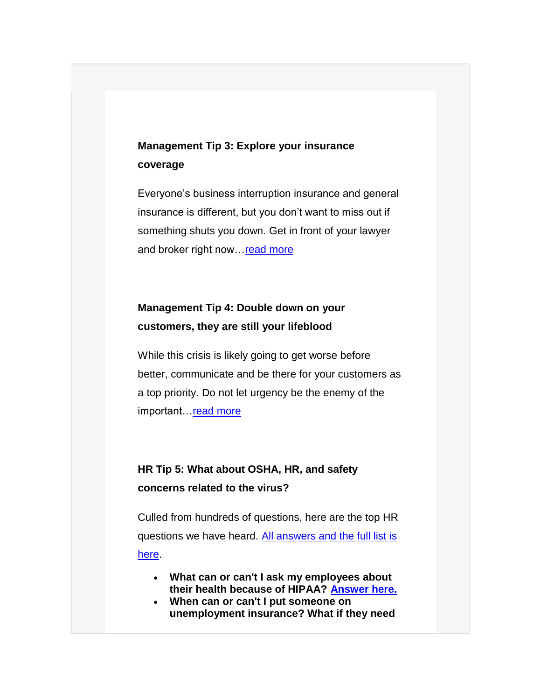### **Management Tip 3: Explore your insurance coverage**

Everyone's business interruption insurance and general insurance is different, but you don't want to miss out if something shuts you down. Get in front of your lawyer and broker right now... read more

### **Management Tip 4: Double down on your customers, they are still your lifeblood**

While this crisis is likely going to get worse before better, communicate and be there for your customers as a top priority. Do not let urgency be the enemy of the important. read more

#### **HR Tip 5: What about OSHA, HR, and safety concerns related to the virus?**

Culled from hundreds of questions, here are the top HR questions we have heard. All answers and the full list is [here.](https://www.manufacturingsuccess.org/e2t/c/*W13WjHl2CB9rhW1kJC5B27F3Q10/*W7MfTxZ2JgS1NW1y7pGx2g0rd30/5/f18dQhb0SbTK8XJblHN7pK2FsHyjJqMQK4kWQBplgN3hHhdcXL0jYVnQ9Qq8--HBkW8-hlbL2LFh1DW2Mz05n8X4pdBW5p9F5S568jySW7KdZV777cGSYVv0cLJ2MTPSpW8W2c9W32CQ2lW8jxMNS1Vx3W4W3CPQ_B5D8zFFW6bJ-px7nwG0kW6bnMRg4MYQh-W7R0x1433FK-yMqPkxDnjZC8W1HvdD78h0pycW2Qqyqp6cw5sLW1xZ9Rz8XkHwtN2qTVDj5p_3_W9cyl_V74PZR7W7xmc-q1TWhT2W3p556b2tkGJDW3ppDPb4PvWkqW3nPcvv8gFk8zN54RN6c7r5DcW76RMY65mYP6BW841J6w6VGtS2Vtr0Jf30MJRXW9h7jbN7LNGj8W2qL7nd7wTZxMW8NQbrW73QsnmW1d5pgb5HpZypW1V3FR91Z6Bx5W2jKvM07QWGVDW83C9gn7Nq_m6N5YtJw9b2_nMW6PxM5R5Sk0NcW5ZsFbz5t3HG9W66f1XB8mPzzmW1TRkTq6BFKSKW6qBrgM73DVmlW70RWJL5pvYsF111)

- **What can or can't I ask my employees about their health because of HIPAA? [Answer here.](https://www.manufacturingsuccess.org/e2t/c/*W13WjHl2CB9rhW1kJC5B27F3Q10/*W4v6WXc30kz49W6l6vjx4Tdqck0/5/f18dQhb0S1Xp2RwCq-V1vjlD5n5T7nVnPM9Y19gW7yW69VTnN4LhzFzW6Z01Rq6GWFKFW5zTvS76dmgnNW2Mcg6g6QGcVYW5fNPR62sLn4SW2xN6N89lrf5JW3_SBX86zT9b9W4cR2KW6GKW40W4fLpcF6_qHQ_W40qFjn5bK_3zW1nfkKp4HQ7jFW7JP-Zg8vJ75bW3VKwhX4WWZgQW9bf0nt15jmRxW3hjFqJ1mbS4dN6wWqW9518JpN7F-s2JzKVzKVgVSMj7MNrDqW3YMhJl8jv-lvW3WPfZ-3HbG2SW5P9YQd7W-yNbW6bdWNZ68zDqTW8pm-w97Ny43SW4tjg1h5rB3q_W40FcdV4NcBskW3Q7D6B6lqx_rN8mVFpvjvNWxW6T1RZG6K0TVcN6NWRmnHVP9KW5CRcnG5bS1YGW4mZsqv73lGx3W2rltzt4YWggNN7BsMqt7KdcvW1kQjKN4FX34hW5wdgkP5fwyYqW72YHTV1ChPxFW4x95xb2cmZc9W19qs675yMD15W89d5M54wVCNCW3rMFrr3pN44PW78-gKG4WHMXQ102)**
- **When can or can't I put someone on unemployment insurance? What if they need**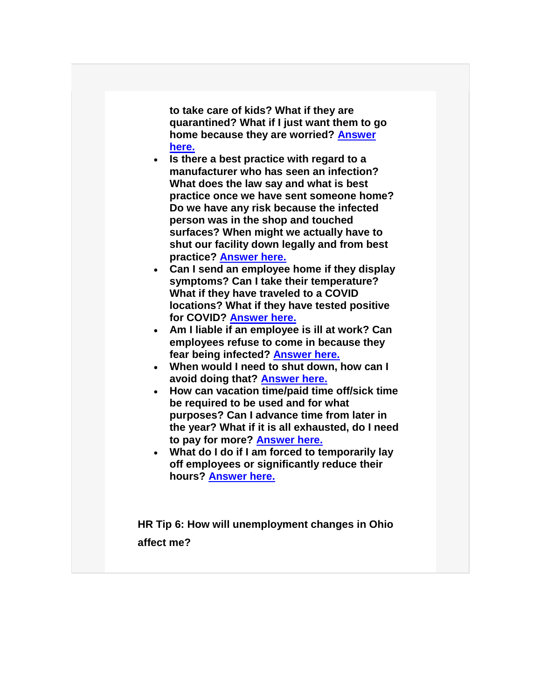**to take care of kids? What if they are quarantined? What if I just want them to go home because they are worried? [Answer](https://www.manufacturingsuccess.org/e2t/c/*W13WjHl2CB9rhW1kJC5B27F3Q10/*W1_FRv17s-yZYW4wBT07420y1k0/5/f18dQhb0S1Xp2RwCq-V1vjlD5n5T7nVnPM9Y19gW7yW69VTnN4LhzFzW6Z01Rq6GWFM-W7CVmV05NCt9MW5xnGg54gbzQLW18rKSB4XsM4YW55vQ1v9hP3RQW81GLkv3MFlz6W3N4BtK3-lkGvW8yqXn54GJ_mfW5FsHWN8YprLmW2GCKtr8bXsJMVdYp1K4g4jT2VgnqtN6QwmsrN9bt3PMyxchvW3h9-G71dXgC8W6wpPzS2fn3ChN7F-s2JqRJc0W2D8Q-87MwJZFW3YLVcK8mVFXyW7Q4-0f6wGf-6VgtWLf1QTsrMW356Gz43Wp_XVW95n5XT4hGBqtW7STx8D2__vcJW400gkz19Sy6pVYQ4dV3XVpdpN7ZnkHT55-dRW6mBBKN3p-sXCW3nZq7k50_Dl6W4XkRR75bS1YGW4mZsqb7x_N3tW2rltzt4YWggNW7BsMpV1418yKW1mNTcZ4FX8JJW4WPZRR8-NDLKW4MNXk-38D1FRW90mf3B4sK1rXW2lRtGX1Mpm8QW6_lN988_PfzpW6XtpQJ6SM0LPW50Q6zF8p_Q4p102)  [here.](https://www.manufacturingsuccess.org/e2t/c/*W13WjHl2CB9rhW1kJC5B27F3Q10/*W1_FRv17s-yZYW4wBT07420y1k0/5/f18dQhb0S1Xp2RwCq-V1vjlD5n5T7nVnPM9Y19gW7yW69VTnN4LhzFzW6Z01Rq6GWFM-W7CVmV05NCt9MW5xnGg54gbzQLW18rKSB4XsM4YW55vQ1v9hP3RQW81GLkv3MFlz6W3N4BtK3-lkGvW8yqXn54GJ_mfW5FsHWN8YprLmW2GCKtr8bXsJMVdYp1K4g4jT2VgnqtN6QwmsrN9bt3PMyxchvW3h9-G71dXgC8W6wpPzS2fn3ChN7F-s2JqRJc0W2D8Q-87MwJZFW3YLVcK8mVFXyW7Q4-0f6wGf-6VgtWLf1QTsrMW356Gz43Wp_XVW95n5XT4hGBqtW7STx8D2__vcJW400gkz19Sy6pVYQ4dV3XVpdpN7ZnkHT55-dRW6mBBKN3p-sXCW3nZq7k50_Dl6W4XkRR75bS1YGW4mZsqb7x_N3tW2rltzt4YWggNW7BsMpV1418yKW1mNTcZ4FX8JJW4WPZRR8-NDLKW4MNXk-38D1FRW90mf3B4sK1rXW2lRtGX1Mpm8QW6_lN988_PfzpW6XtpQJ6SM0LPW50Q6zF8p_Q4p102)**

- **Is there a best practice with regard to a manufacturer who has seen an infection? What does the law say and what is best practice once we have sent someone home? Do we have any risk because the infected person was in the shop and touched surfaces? When might we actually have to shut our facility down legally and from best practice? [Answer here.](https://www.manufacturingsuccess.org/e2t/c/*W13WjHl2CB9rhW1kJC5B27F3Q10/*W59k6jv8_CST2W3c71KW2F7rr70/5/f18dQhb0S1Xp2RwCq-V1vjmc5n5T7nVnPxZ719gW7yW69VTnN4LhzFzW6Z01Rq6GWFKFW7CVmV07QKSnHW61H4wr85mCWsW2DVWq35WXDv6W1fphHm9lNy_yVR4Tld4zDBkxW8HRVJ91FYZgqW5Ns_7b1LnchqW7qVJYQ8kMqD3W2LyQRN8cWfsSW1YfWSb6QSq2hW3hL1zD5WhFynW6-LxB055c-YRW38CDTW2LxXwsW3VrTP088NRxbW3Gpn3P2q0JxpW8dRqk94h1yTWW3ksLf54wk-vpVZKv-K7YnmdkW66qFt16tqKHkW6f5kMb3Wp_XVW95n5XT4hGBBZW87FWf_61Z51fW81-Fb52plZxqW1VBM4V7SNbYqN49VYF88fnZgW3q1SZp66s6Q3N6LYgTbHVP9KVwwXJJ14y8V-W8MW9wq4Qzp-2N4THZcHxJ42KN5QQNBK7KdcvW1pMpL74FX34gW64Q0nM59zPv-W4M1ZP64kDQVvW90mf3B4sK1rXW2mjNTV1Mpm8QW6_lC2697HrpGW6XtyB284yCQPW4-RTxd2zSYdt102)**
- **Can I send an employee home if they display symptoms? Can I take their temperature? What if they have traveled to a COVID locations? What if they have tested positive for COVID? [Answer here.](https://www.manufacturingsuccess.org/e2t/c/*W13WjHl2CB9rhW1kJC5B27F3Q10/*W6DtCsk4ZV-VRW7Tt_fq8lChY-0/5/f18dQhb0SbTK8XJblHN7pK2FsHyjJqMQK4kWQBplgN3hHhdcXL0jYVnQ9Qq8--HBkW8-hlbL2LFh1DW2Mz05n8X4pdBW5p9F5S568jySW7KdY_y7qXTfKVv0cLJ2MTPSpW8W2c9W32CQ2lW8jxMNS1Vx3W4W3CPQ_B5D8zFFW6bJ-px7nwG0kW6bnMRg4MYQh-W7R0x1433FK-yMqPkxDnjZC8W1HvdD78h0pycW2Qqyqp6cw5sLW1xZ9Rz8XkHwtN2qTVDj5p_3_W9cyl_V74PZR7W7xmc-q1TWhT2W3p556b2tkGJDW3ppDPb4PvWkqW3nPcvv8gFk8zN54RN6c7r5DcW76RMY65mYP6BW841J6w6VGtS2Vtr0Jf30MJRXW9h7jbN7LNGj8W2qL7nd7wTZxMW8NQbrW73QsnmW1d5pgb5HpZypW1V3FR91Z6Bx5W2jKvM07QWGVDW83C9gn7Nq_m6N5YtJw9b2_nMW6PxM5R5Sk0NcW5ZsFbz5t3HG9W66f1XB8mPzzmW1TRkTq6BFKSKW6qBrgM73FKjCW70RWJW8n74ZC111)**
- **Am I liable if an employee is ill at work? Can employees refuse to come in because they fear being infected? [Answer here.](https://www.manufacturingsuccess.org/e2t/c/*W13WjHl2CB9rhW1kJC5B27F3Q10/*W5_Btsg6RzPK3W5t6ZfR1l7Jk20/5/f18dQhb0SbTK8XJblHN7pK2FsHyjJqMQK4kWQBplgN3hHhdcXL0jYVnQ9Qq8--HBkW8-hlbL2LFh1DW2Mz05n8X4pdBW5p9F5S568jySW7KdY_y7qXTfKVv0cLJ2MTPSpW8W2c9W32CQ2lW8jxMNS1Vx3W4W3CPQ_B5D8zFFW6bJ-px7nwG0kW6bnMRg4MYQh-W7R0x1433FK-yMqPkxDnjZC8W1HvdD78h0pycW2Qqyqp6cw5sLW1xZ9Rz8XkHwtN2qTVDj5p_3_W9cyl_V74PZR7W7xmc-q1TWhT2W3p556b2tkGJDW3ppDPb4PvWkqW3nPcvv8gFk8zN54RN6c7r5DcW76RMY65mYP6BW841J6w6VGtS2Vtr0Jf30MJRXW9h7jbN7LNGj8W2qL7nd7wTZxMW8NQbrW73QsnmW1d5pgb5HpZypW1V3FR91Z6Bx5W2jKvM07QWGVDW83C9gn7Nq_m6N5YtJw9b2_nMW6PxM5R5Sk0NcW5ZsFbz5t3HG9W66f1XB8mPzzmW1TRkTq6BFKSKW6qBrgM73zyzjW70RWJC24w-S4111)**
- **When would I need to shut down, how can I avoid doing that? [Answer here.](https://www.manufacturingsuccess.org/e2t/c/*W13WjHl2CB9rhW1kJC5B27F3Q10/*W4yq8BT4FC0L7VBWG5d1BJZvd0/5/f18dQhb0SbTK8XJblHN7pK2FsHyjJqMQK4kWQBplgN3hHhdcXL0jYVnQ9Qq8--HBkW8-hlbL2LFh1DW2Mz05n8X4pdBW5p9F5S568jySW7KdY_y7qXTfKVv0cLJ2MTPSpW8W2c9W32CQ2lW8jxMNS1Vx3W4W3CPQ_B5D8zFFW6bJ-px7nwG0kW6bnMRg4MYQh-W7R0x1433FK-yMqPkxDnjZC8W1HvdD78h0pycW2Qqyqp6cw5sLW1xZ9Rz8XkHwtN2qTVDj5p_3_W9cyl_V74PZR7W7xmc-q1TWhT2W3p556b2tkGJDW3ppDPb4PvWkqW3nPcvv8gFk8zN54RN6c7r5DcW76RMY65mYP6BW841J6w6VGtS2Vtr0Jf30MJRXW9h7jbN7LNGj8W2qL7nd7wTZxMW8NQbrW73QsnmW1d5pgb5HpZypW1V3FR91Z6Bx5W2jKvM07QWGVDW83C9gn7Nq_m6N5YtJw9b2_nMW6PxM5R5Sk0NcW5ZsFbz5t3HG9W66f1XB8mPzzmW1TRkTq6BFKSKW6qBrgM73DVmlN70RWLHCmBjq111)**
- **How can vacation time/paid time off/sick time be required to be used and for what purposes? Can I advance time from later in the year? What if it is all exhausted, do I need to pay for more? [Answer here.](https://www.manufacturingsuccess.org/e2t/c/*W13WjHl2CB9rhW1kJC5B27F3Q10/*W6YS_Pt3DDR2zW2mq3p66yMssZ0/5/f18dQhb0SbTK8XJblHN7pK2FsHyjJqMQK4kWQBplgN3hHhdcXL0jYVnQ9Qq8--HBkW8-hlbL2LFh1DW2Mz05n8X4pdBW5p9F5S568jySW7KdY_y7qXTfKVv0cLJ2MTPSpW8W2c9W32CQ2lW8jxMNS1Vx3W4W3CPQ_B5D8zFFW6bJ-px7nwG0kW6bnMRg4MYQh-W7R0x1433FK-yMqPkxDnjZC8W1HvdD78h0pycW2Qqyqp6cw5sLW1xZ9Rz8XkHwtN2qTVDj5p_3_W9cyl_V74PZR7W7xmc-q1TWhT2W3p556b2tkGJDW3ppDPb4PvWkqW3nPcvv8gFk8zN54RN6c7r5DcW76RMY65mYP6BW841J6w6VGtS2Vtr0Jf30MJRXW9h7jbN7LNGj8W2qL7nd7wTZxMW8NQbrW73QsnmW1d5pgb5HpZypW1V3FR91Z6Bx5W2jKvM07QWGVDW83C9gn7Nq_m6N5YtJw9b2_nMW6PxM5R5Sk0NcW5ZsFbz5t3HG9W66f1XB8mPzzmW1TRkTq6BFKSKW6qBrgM73CcsRW70RWGR3WHChW111)**
- **What do I do if I am forced to temporarily lay off employees or significantly reduce their hours? [Answer here.](https://www.manufacturingsuccess.org/e2t/c/*W13WjHl2CB9rhW1kJC5B27F3Q10/*VjM8YF3C6YZXW9bJNZY7G6L-D0/5/f18dQhb0SbTK8XJblHN7pK2FsHyjJqMQK4kWQBplgN3hHhdcXL0jYVnQ9Qq8--HBkW8-hlbL2LFh1DW2Mz05n8X4pdBW5p9F5S568jySW7KdY_y7qXTfKVv0cLJ2MTPSpW8W2c9W32CQ2lW8jxMNS1Vx3W4W3CPQ_B5D8zFFW6bJ-px7nwG0kW6bnMRg4MYQh-W7R0x1433FK-yMqPkxDnjZC8W1HvdD78h0pycW2Qqyqp6cw5sLW1xZ9Rz8XkHwtN2qTVDj5p_3_W9cyl_V74PZR7W7xmc-q1TWhT2W3p556b2tkGJDW3ppDPb4PvWkqW3nPcvv8gFk8zN54RN6c7r5DcW76RMY65mYP6BW841J6w6VGtS2Vtr0Jf30MJRXW9h7jbN7LNGj8W2qL7nd7wTZxMW8NQbrW73QsnmW1d5pgb5HpZypW1V3FR91Z6Bx5W2jKvM07QWGVDW83C9gn7Nq_m6N5YtJw9b2_nMW6PxM5R5Sk0NcW5ZsFbz5t3HG9W66f1XB8mPzzmW1TRkTq6BFKSKW6qBrgM73GyfTW70RWL42ttYQs111)**

**HR Tip 6: How will unemployment changes in Ohio affect me?**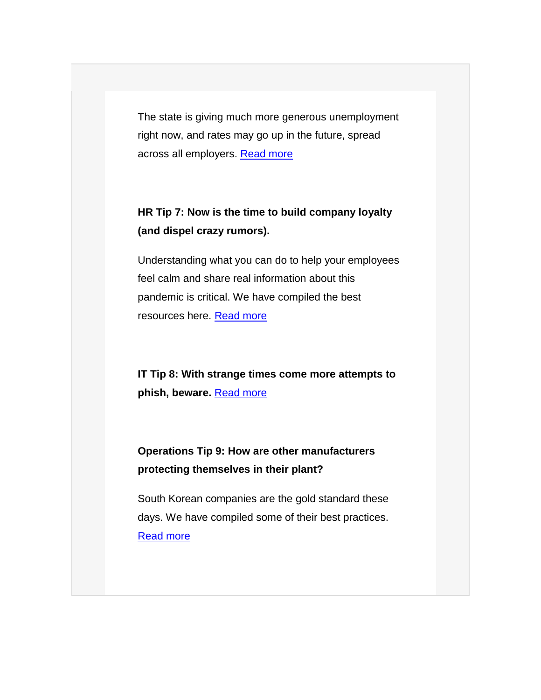The state is giving much more generous unemployment right now, and rates may go up in the future, spread across all employers. [Read more](https://www.manufacturingsuccess.org/e2t/c/*W13WjHl2CB9rhW1kJC5B27F3Q10/*W5TkrH56cQXL4V9ptb01Mc4g90/5/f18dQhb0SbTK8XJblHN7pK2FsHyjJqMQK4kWQBplgN3hHhdcXL0jYVnQ9Qq8--HBkW8-hlbL2LFh1DW2Mz05n8X4pdBW5p9F5S568jySW7KdZV777cGSYVv0cLJ2MTPSpW8W2c9W32CQ2lW8jxMNS1Vx3W4W3CPQ_B5D8zFFW6bJ-px7nwG0kW6bnMRg4MYQh-W7R0x1433FK-yMqPkxDnjZC8W1HvdD78h0pycW2Qqyqp6cw5sLW1xZ9Rz8XkHwtN2qTVDj5p_3_W9cyl_V74PZR7W7xmc-q1TWhT2W3p556b2tkGJDW3ppDPb4PvWkqW3nPcvv8gFk8zN54RN6c7r5DcW76RMY65mYP6BW841J6w6VGtS2Vtr0Jf30MJRXW9h7jbN7LNGj8W2qL7nd7wTZxMW8NQbrW73QsnmW1d5pgb5HpZypW1V3FR91Z6Bx5W2jKvM07QWGVDW83C9gn7Nq_m6N5YtJw9b2_nMW6PxM5R5Sk0NcW5ZsFbz5t3HG9W66f1XB8mPzzmW1TRkTq6BFKSKW6qBrgM73CcsRW70RWKD8wZcMK111)

### **HR Tip 7: Now is the time to build company loyalty (and dispel crazy rumors).**

Understanding what you can do to help your employees feel calm and share real information about this pandemic is critical. We have compiled the best resources here. [Read more](https://www.manufacturingsuccess.org/e2t/c/*W13WjHl2CB9rhW1kJC5B27F3Q10/*W8w-hHh78N0YjW8qyc-X6PHMbX0/5/f18dQhb0SbTK8XJblHN7pK2FsHyjJqMQK4kWQBplgN3hHhdcXL0jYVnQ9Qq8--HBkW8-hlbL2LFh1DW2Mz05n8X4pdBW5p9F5S568jySW7KdZV777cGSYVv0cLJ2MTPSpW8W2c9W32CQ2lW8jxMNS1Vx3W4W3CPQ_B5D8zFFW6bJ-px7nwG0kW6bnMRg4MYQh-W7R0x1433FK-yMqPkxDnjZC8W1HvdD78h0pycW2Qqyqp6cw5sLW1xZ9Rz8XkHwtN2qTVDj5p_3_W9cyl_V74PZR7W7xmc-q1TWhT2W3p556b2tkGJDW3ppDPb4PvWkqW3nPcvv8gFk8zN54RN6c7r5DcW76RMY65mYP6BW841J6w6VGtS2Vtr0Jf30MJRXW9h7jbN7LNGj8W2qL7nd7wTZxMW8NQbrW73QsnmW1d5pgb5HpZypW1V3FR91Z6Bx5W2jKvM07QWGVDW83C9gn7Nq_m6N5YtJw9b2_nMW6PxM5R5Sk0NcW5ZsFbz5t3HG9W66f1XB8mPzzmW1TRkTq6BFKSKW6qBrgM73GyfTW70RWGZ71PNdT111)

**IT Tip 8: With strange times come more attempts to phish, beware.** [Read more](https://www.manufacturingsuccess.org/e2t/c/*W13WjHl2CB9rhW1kJC5B27F3Q10/*W7st9N06H8w5CW8jL7sq8xsxtS0/5/f18dQhb0SbTK8XJblHN7pK2FsHyjJqMQK4kWQBplgN3hHhdcXL0jYVnQ9Qq8--HBkW8-hlbL2LFh1DW2Mz05n8X4pdBW5p9F5S568jySW7KdZV777cGSYVv0cLJ2MTPSpW8W2c9W32CQ2lW8jxMNS1Vx3W4W3CPQ_B5D8zFFW6bJ-px7nwG0kW6bnMRg4MYQh-W7R0x1433FK-yMqPkxDnjZC8W1HvdD78h0pycW2Qqyqp6cw5sLW1xZ9Rz8XkHwtN2qTVDj5p_3_W9cyl_V74PZR7W7xmc-q1TWhT2W3p556b2tkGJDW3ppDPb4PvWkqW3nPcvv8gFk8zN54RN6c7r5DcW76RMY65mYP6BW841J6w6VGtS2Vtr0Jf30MJRXW9h7jbN7LNGj8W2qL7nd7wTZxMW8NQbrW73QsnmW1d5pgb5HpZypW1V3FR91Z6Bx5W2jKvM07QWGVDW83C9gn7Nq_m6N5YtJw9b2_nMW6PxM5R5Sk0NcW5ZsFbz5t3HG9W66f1XB8mPzzmW1TRkTq6BFKSKW6qBrgM73z74HW70RWLb39_WlK111)

**Operations Tip 9: How are other manufacturers protecting themselves in their plant?** 

South Korean companies are the gold standard these days. We have compiled some of their best practices. [Read more](https://www.manufacturingsuccess.org/e2t/c/*W13WjHl2CB9rhW1kJC5B27F3Q10/*W4X5wKN85bTNrW2hVcGW8XhRBV0/5/f18dQhb0SbTK8XJblHN7pK2FsHyjJqMQK4kWQBplgN3hHhdcXL0jYVnQ9Qq8--HBkW8-hlbL2LFh1DW2Mz05n8X4pdBW5p9F5S568jySW7KdZV777cGSYVv0cLJ2MTPSpW8W2c9W32CQ2lW8jxMNS1Vx3W4W3CPQ_B5D8zFFW6bJ-px7nwG0kW6bnMRg4MYQh-W7R0x1433FK-yMqPkxDnjZC8W1HvdD78h0pycW2Qqyqp6cw5sLW1xZ9Rz8XkHwtN2qTVDj5p_3_W9cyl_V74PZR7W7xmc-q1TWhT2W3p556b2tkGJDW3ppDPb4PvWkqW3nPcvv8gFk8zN54RN6c7r5DcW76RMY65mYP6BW841J6w6VGtS2Vtr0Jf30MJRXW9h7jbN7LNGj8W2qL7nd7wTZxMW8NQbrW73QsnmW1d5pgb5HpZypW1V3FR91Z6Bx5W2jKvM07QWGVDW83C9gn7Nq_m6N5YtJw9b2_nMW6PxM5R5Sk0NcW5ZsFbz5t3HG9W66f1XB8mPzzmW1TRkTq6BFKSKW6qBrgM73DsVKW70RWJK4DbxCP111)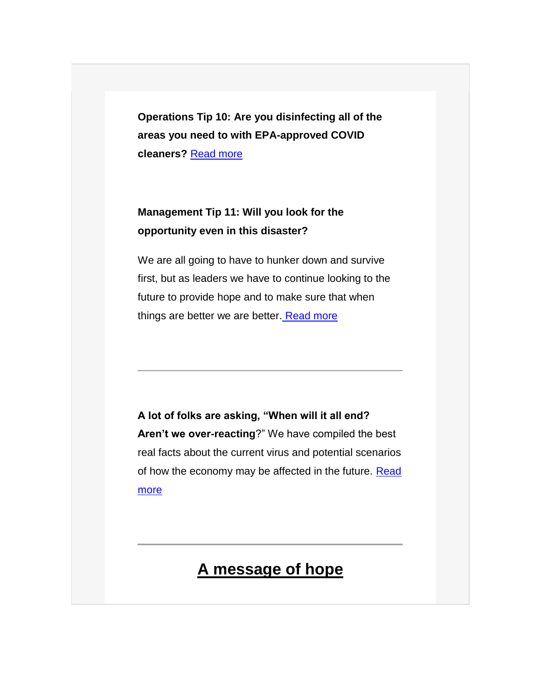**Operations Tip 10: Are you disinfecting all of the areas you need to with EPA-approved COVID cleaners?** [Read more](https://www.manufacturingsuccess.org/e2t/c/*W13WjHl2CB9rhW1kJC5B27F3Q10/*W1TF9yv3cVnvVW6_n0-X2QG3jX0/5/f18dQhb0SbTK8XJblHN7pK2FsHyjJqMQK4kWQBplgN3hHhdcXL0jYVnQ9Qq8--HBkW8-hlbL2LFh1DW2Mz05n8X4pdBW5p9F5S568jySW7KdZV777cGSYVv0cLJ2MTPSpW8W2c9W32CQ2lW8jxMNS1Vx3W4W3CPQ_B5D8zFFW6bJ-px7nwG0kW6bnMRg4MYQh-W7R0x1433FK-yMqPkxDnjZC8W1HvdD78h0pycW2Qqyqp6cw5sLW1xZ9Rz8XkHwtN2qTVDj5p_3_W9cyl_V74PZR7W7xmc-q1TWhT2W3p556b2tkGJDW3ppDPb4PvWkqW3nPcvv8gFk8zN54RN6c7r5DcW76RMY65mYP6BW841J6w6VGtS2Vtr0Jf30MJRXW9h7jbN7LNGj8W2qL7nd7wTZxMW8NQbrW73QsnmW1d5pgb5HpZypW1V3FR91Z6Bx5W2jKvM07QWGVDW83C9gn7Nq_m6N5YtJw9b2_nMW6PxM5R5Sk0NcW5ZsFbz5t3HG9W66f1XB8mPzzmW1TRkTq6BFKSKW6qBrgM73BP_bN70RWKC9KzS4111)

#### **Management Tip 11: Will you look for the opportunity even in this disaster?**

We are all going to have to hunker down and survive first, but as leaders we have to continue looking to the future to provide hope and to make sure that when things are better we are better. [Read more](https://www.manufacturingsuccess.org/e2t/c/*W13WjHl2CB9rhW1kJC5B27F3Q10/*W1nKs741QZhwKW1YG5br8nKcZK0/5/f18dQhb0S1Xp2RwCq-V1vjlD5ndwLsVnPxZ719gW6ZW471ZKQ7cB90GW4ZjB7p6y-MbCW2fjJXd2fnlrGVC7XB014d2NxW4-hRHJ4jLwGQW2pbhqB9jFzFXW24xCjL5f4pdgVnSMsv4KQCntW13zzLZ1Cb4FTW7cdfzB9gD7PZW2XDrrS7Yvh0kVyCzYH48t7D9W9b8dyF2QcQ2cW5Q3HSM8fDfhRW53PGPp3bK0rwW7Lzzr826tXgZW10MNm82vxkXHW7xMTys47c3jjW5DC85g4mnVG7W6FGzCD1_5bC3W3FGmy65D848xW5Zhbzm319ysJN5z2dmjvsN3cW7J0Yx36v6cfGW4jTqx52pGDh8W5gKtwb2_f6QKW6GzSzd3g34wjW2d_6nR6SGJjvW4gjwTQ49-5QMW3T5Z3w5bt4ckW4f2ZFF2L1TByN3Zd8fmgvD0XN2ll7XsmVS8YW8jW7654FX8JJW26QjGz98jFGGW714QSG1W2tZFW4x95xb2cmZc9W71m4dw5yMD15W89d2Yv4rYwBMW3s_bLz90fVyJW6tKZP556XHDG102)

**A lot of folks are asking, "When will it all end? Aren't we over-reacting**?" We have compiled the best real facts about the current virus and potential scenarios of how the economy may be affected in the future. [Read](https://www.manufacturingsuccess.org/e2t/c/*W13WjHl2CB9rhW1kJC5B27F3Q10/*N5HxRqC-9yl2N8B2CQ16KK1j0/5/f18dQhb0S1Xp2RwCq-V1vjlD5nCvwHVnPxZ719gW6ZW471ZKQ7cB90GW4ZjB7p6y-MbCW2fjJXd2fnlrGVC7XB014d2NxW4-hRHJ4jLwGQW2pbhqB9jFzFXW24xCjL5f4pdgVnSMsv4KQCntW13zzLZ1Cb4FTW7cdfzB9gD7PZW2XDrrS7Yvh0kVyCzYH48t7D9W9b8dyF2QcQ2cW5Q3HSM8fDfhRW53PGPp3bK0rwW7Lzzr826tXgZW10MNm82vxkXHW7xMTys47c3jjW5DC85g4mnVG7W6FGzCD1_5bC3W3FGmy65D848xW5Zhbzm319ysJN5z2dmjvsN3cW7J0Yx36v6cfGW4jTqx52pGDh8W5gKtwb2_f6QKW6GzSzd3g34wjW2d_6nR6SGJjvW4gjwTQ49-5QMW3T5Z3w5bt4ckW4f2ZFF2L1TByN3Zd8fmgvD0XN2ll7XsmVS8YW8jW7654FX8JJW26QjGz98jFGGW714QSG1W2tZFW4x95xb2cmZc9W71m4dw5yMD15W89d2Yv4rYwBMW3s_bLz90fVyJW6tKYrV6k9Y1w102)  [more](https://www.manufacturingsuccess.org/e2t/c/*W13WjHl2CB9rhW1kJC5B27F3Q10/*N5HxRqC-9yl2N8B2CQ16KK1j0/5/f18dQhb0S1Xp2RwCq-V1vjlD5nCvwHVnPxZ719gW6ZW471ZKQ7cB90GW4ZjB7p6y-MbCW2fjJXd2fnlrGVC7XB014d2NxW4-hRHJ4jLwGQW2pbhqB9jFzFXW24xCjL5f4pdgVnSMsv4KQCntW13zzLZ1Cb4FTW7cdfzB9gD7PZW2XDrrS7Yvh0kVyCzYH48t7D9W9b8dyF2QcQ2cW5Q3HSM8fDfhRW53PGPp3bK0rwW7Lzzr826tXgZW10MNm82vxkXHW7xMTys47c3jjW5DC85g4mnVG7W6FGzCD1_5bC3W3FGmy65D848xW5Zhbzm319ysJN5z2dmjvsN3cW7J0Yx36v6cfGW4jTqx52pGDh8W5gKtwb2_f6QKW6GzSzd3g34wjW2d_6nR6SGJjvW4gjwTQ49-5QMW3T5Z3w5bt4ckW4f2ZFF2L1TByN3Zd8fmgvD0XN2ll7XsmVS8YW8jW7654FX8JJW26QjGz98jFGGW714QSG1W2tZFW4x95xb2cmZc9W71m4dw5yMD15W89d2Yv4rYwBMW3s_bLz90fVyJW6tKYrV6k9Y1w102)

## **A message of hope**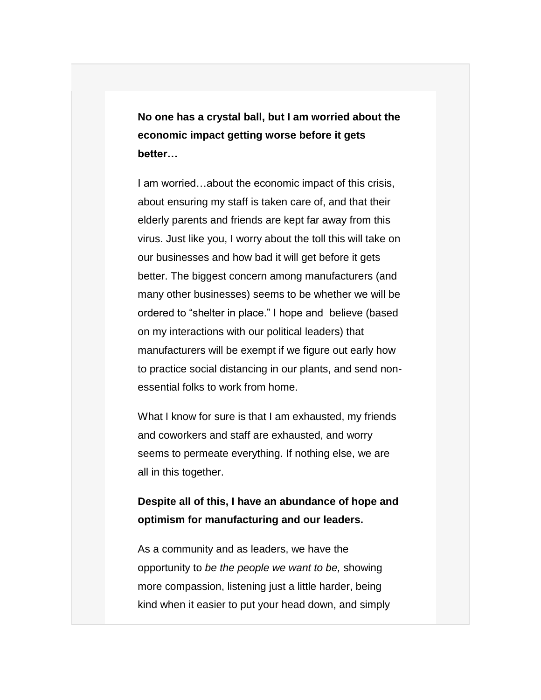**No one has a crystal ball, but I am worried about the economic impact getting worse before it gets better…**

I am worried…about the economic impact of this crisis, about ensuring my staff is taken care of, and that their elderly parents and friends are kept far away from this virus. Just like you, I worry about the toll this will take on our businesses and how bad it will get before it gets better. The biggest concern among manufacturers (and many other businesses) seems to be whether we will be ordered to "shelter in place." I hope and believe (based on my interactions with our political leaders) that manufacturers will be exempt if we figure out early how to practice social distancing in our plants, and send nonessential folks to work from home.

What I know for sure is that I am exhausted, my friends and coworkers and staff are exhausted, and worry seems to permeate everything. If nothing else, we are all in this together.

#### **Despite all of this, I have an abundance of hope and optimism for manufacturing and our leaders.**

As a community and as leaders, we have the opportunity to *be the people we want to be,* showing more compassion, listening just a little harder, being kind when it easier to put your head down, and simply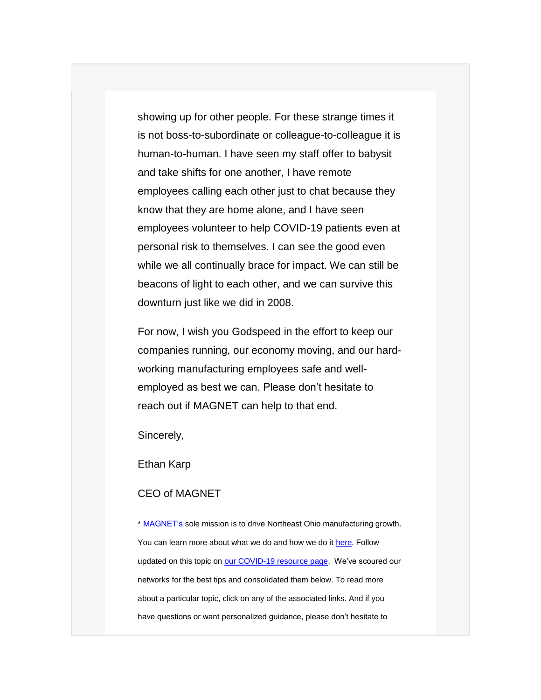showing up for other people. For these strange times it is not boss-to-subordinate or colleague-to-colleague it is human-to-human. I have seen my staff offer to babysit and take shifts for one another, I have remote employees calling each other just to chat because they know that they are home alone, and I have seen employees volunteer to help COVID-19 patients even at personal risk to themselves. I can see the good even while we all continually brace for impact. We can still be beacons of light to each other, and we can survive this downturn just like we did in 2008.

For now, I wish you Godspeed in the effort to keep our companies running, our economy moving, and our hardworking manufacturing employees safe and wellemployed as best we can. Please don't hesitate to reach out if MAGNET can help to that end.

Sincerely,

Ethan Karp

#### CEO of MAGNET

\* [MAGNET's s](https://www.manufacturingsuccess.org/e2t/c/*W13WjHl2CB9rhW1kJC5B27F3Q10/*N4p7SK0SNfz2W1R9_ny2wyMK_0/5/f18dQhb0Sjv78XJ8NlN7pK2FsHyjJqMQK4kWQBplgN3hHhdwXL0jYVnQ9Qq8--HBkW8-hlbL2LFh1DW2Mz05n8X4pdBW5p9F5S568jySW7Kf4S52MTPSpW8W2c9W32CQ2lW8jxMNS1Vx3W4W3CPQ_B5D8zFFVjPrmg6W3RDgMHd1flBr0q_VYSX-57m_B1RW5c8d-S377W4zW5CD5Rl7lVWVdW8K7jyB5jK-hwVScbn16QvYFpW36xl_87fv4BwW6Q8YC96bv3rGVYR1rm361PzkW3Tkrw37YGWqfN2ykJj5RnM9QW1cjRGd1xnSmhW4V-xKy87yTfLVDTtwG7YJG-FN6Q8L5-FgqPfW95TvDC7ZYvwHW6RsV5-1pZt4dMhzVNsnlkR-W3MP4Bq8csLSqW112pl55hkryvW5kgLKG5y4mgPV9NW_n5jDhvlW4trZmG4rKHSMW7l35Dv31GHfxW12BrcX9d9F5LW3Bb4YP4LKw5pW7y7zQv8MQ0gjVHk35f1MB4xmW3y19vR3wMXFCTfGk98PcMHC103)ole mission is to drive Northeast Ohio manufacturing growth. You can learn more about what we do and how we do it [here.](https://www.manufacturingsuccess.org/e2t/c/*W13WjHl2CB9rhW1kJC5B27F3Q10/*W3CdbH88hmyfpW8s5lMF7w40C80/5/f18dQhb0Sjv78XJ8NlN7pK2FsHyjJqMQK4kWQBplgN3hHhdwXL0jYVnQ9Qq8--HBkW8-hlbL2LFh1DW2Mz05n8X4pdBW5p9F5S568jySW7Kf4S52MTPSpW8W2c9W32CQ2lW8jxMNS1Vx3W4W3CPQ_B5D8zFFVjPrmg6W3RDgMHd1flBr0q_VYSX-57m_B1RW5c8d-S377W4zW5CD5Rl7lVWVdW8K7jyB5jK-hwVScbn16QvYFpW36xl_87fv4BwW6Q8YC96bv3rGVYR1rm361PzkW3Tkrw37YGWqfN2ykJj5RnM9QW1cjRGd1xnSmhW4V-xKy87yTfLVDTtwG7YJG-FN6Q8L5-FgqPfW95TvDC7ZYvwHW6RsV5-1pZt4dMhzVNsnlkR-W3MP4Bq8csLSqW112pl55hkryvW5kgLKG5y4mgPV9NW_n5jDhvlW4trZmG4rKHSMW7l35Dv31GHfxW12BrcX9d9F5LW3Bb4YP4LKw5pW7y7zQv8MQ0gjVHk35f1MB4xmW3y19vR3wMXFCTfGk98PcMHC103) Follow updated on this topic on [our COVID-19 resource page.](https://www.manufacturingsuccess.org/e2t/c/*W13WjHl2CB9rhW1kJC5B27F3Q10/*W1jbGHV4r9DknW2qNCFn8xc3dP0/5/f18dQhb0S1Xp2RwCq-V1vjlD5n5T7nVnPM9Y19gW6ZW471ZKc7czygnW2DyHRf7Zys2fW8KxPWF8qhglFW4g-K3T37XgvFN2L31h6PlzxKW2nMNhh5SHWrfW5s1w8t3MmrtvW865kx_4yVHk_W7YF0-f2yZN9JW6P2DSb1WQySlVmJGBK2d5JPjW4cTTg-8Dc1gZW7bK4Tg4T_qVyW4Cdt-18gn1R6W6QkDTZ2rdZRTW5Cv_Nn7n4rNgW1pdrkD7XYQz3W7c5lDH1KgXv3W2_SY5h2R6m9CW6d9J0s6x8XLrW6vbjMX7cw_SKW59CTPf8DklcMW56rbm14QnKghW2SnRkw7p4G3qW1mcHSd4ks38vMpv-QNSZWMcW8Rm98Z8QlkZhW36vcVl5s7v2WW5yng2j2FSkVFW7jJ19k6kdLJLN6X6_GwTSPVbVnnGGd60p_Y5W2hMF6K5TgQ_6W5n6jmf6c2-svW5m5QfJ1g9-2WW4ZGX7r8bXxqCW9g-mG59f7Ln_VycfM26p8Fw-W4Hmjmv3V5DgwMGdK6b5_L-KW9h8ZJb8_yhKt102) We've scoured our networks for the best tips and consolidated them below. To read more about a particular topic, click on any of the associated links. And if you have questions or want personalized guidance, please don't hesitate to